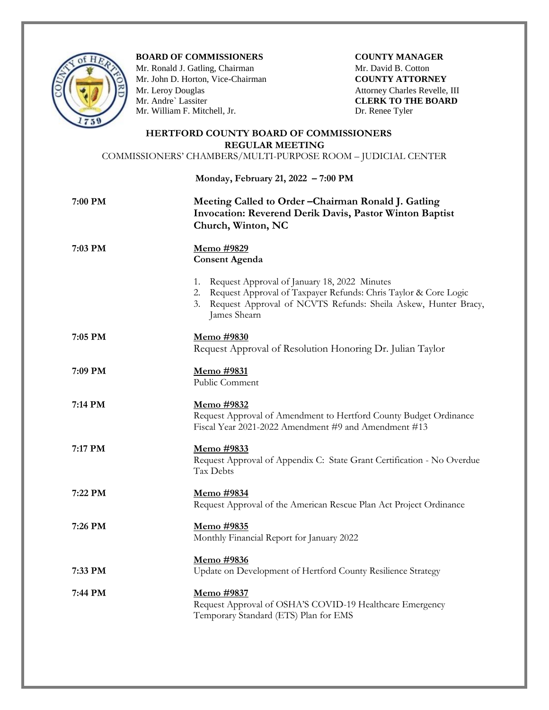

**BOARD OF COMMISSIONERS COUNTY MANAGER**

Mr. Ronald J. Gatling, ChairmanMr. David B. Cotton Mr. John D. Horton, Vice-Chairman **COUNTY ATTORNEY** Mr. Leroy Douglas **Attorney Charles Revelle, III** Attorney Charles Revelle, III Mr. Andre` Lassiter **CLERK TO THE BOARD** Mr. William F. Mitchell, Jr. Dr. Renee Tyler

## **HERTFORD COUNTY BOARD OF COMMISSIONERS REGULAR MEETING**

COMMISSIONERS' CHAMBERS/MULTI-PURPOSE ROOM – JUDICIAL CENTER

**Monday, February 21, 2022 – 7:00 PM**

## **7:00 PM Meeting Called to Order –Chairman Ronald J. Gatling Invocation: Reverend Derik Davis, Pastor Winton Baptist Church, Winton, NC**

 **7:03 PM Memo #9829**

**Consent Agenda**

- 
- 1. Request Approval of January 18, 2022 Minutes
- 2. Request Approval of Taxpayer Refunds: Chris Taylor & Core Logic
- 3. Request Approval of NCVTS Refunds: Sheila Askew, Hunter Bracy, James Shearn
- **7:05 PM Memo #9830** Request Approval of Resolution Honoring Dr. Julian Taylor
- **7:09 PM Memo #9831** Public Comment
- **7:14 PM Memo #9832**
	- Request Approval of Amendment to Hertford County Budget Ordinance Fiscal Year 2021-2022 Amendment #9 and Amendment #13
- **7:17 PM Memo #9833** Request Approval of Appendix C: State Grant Certification - No Overdue Tax Debts
- **7:22 PM Memo #9834** Request Approval of the American Rescue Plan Act Project Ordinance
- **7:26 PM Memo #9835** Monthly Financial Report for January 2022
	- **Memo #9836**
- **7:33 PM** Update on Development of Hertford County Resilience Strategy
- **7:44 PM Memo #9837** Request Approval of OSHA'S COVID-19 Healthcare Emergency Temporary Standard (ETS) Plan for EMS